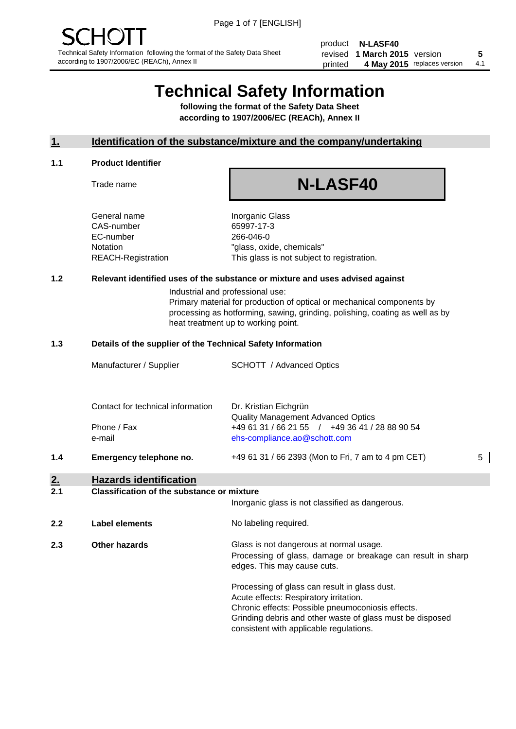product **N-LASF40** revised **5 1 March 2015** version printed 4 May 2015 replaces version 4.1

## **Technical Safety Information**

**following the format of the Safety Data Sheet according to 1907/2006/EC (REACh), Annex II**

#### **1. Identification of the substance/mixture and the company/undertaking**

#### **1.1 Product Identifier**

Trade name

# **N-LASF40**

General name **Inorganic Glass** CAS-number 65997-17-3 EC-number 266-046-0

Notation "glass, oxide, chemicals" REACH-Registration This glass is not subject to registration.

#### **1.2 Relevant identified uses of the substance or mixture and uses advised against**

Industrial and professional use: Primary material for production of optical or mechanical components by processing as hotforming, sawing, grinding, polishing, coating as well as by heat treatment up to working point.

#### **1.3 Details of the supplier of the Technical Safety Information**

|     | Manufacturer / Supplier           | <b>SCHOTT</b> / Advanced Optics                                                |   |
|-----|-----------------------------------|--------------------------------------------------------------------------------|---|
|     | Contact for technical information | Dr. Kristian Eichgrün<br><b>Quality Management Advanced Optics</b>             |   |
|     | Phone / Fax<br>e-mail             | +49 61 31 / 66 21 55 / +49 36 41 / 28 88 90 54<br>ehs-compliance.ao@schott.com |   |
| 1.4 | Emergency telephone no.           | +49 61 31 / 66 2393 (Mon to Fri, 7 am to 4 pm CET)                             | 5 |

## **2. Hazards identification**

#### **2.1 Classification of the substance or mixture**

|     |                      | Inorganic glass is not classified as dangerous.                                                                                                                                                                                                      |  |  |
|-----|----------------------|------------------------------------------------------------------------------------------------------------------------------------------------------------------------------------------------------------------------------------------------------|--|--|
| 2.2 | Label elements       | No labeling required.                                                                                                                                                                                                                                |  |  |
| 2.3 | <b>Other hazards</b> | Glass is not dangerous at normal usage.<br>Processing of glass, damage or breakage can result in sharp<br>edges. This may cause cuts.                                                                                                                |  |  |
|     |                      | Processing of glass can result in glass dust.<br>Acute effects: Respiratory irritation.<br>Chronic effects: Possible pneumoconiosis effects.<br>Grinding debris and other waste of glass must be disposed<br>consistent with applicable regulations. |  |  |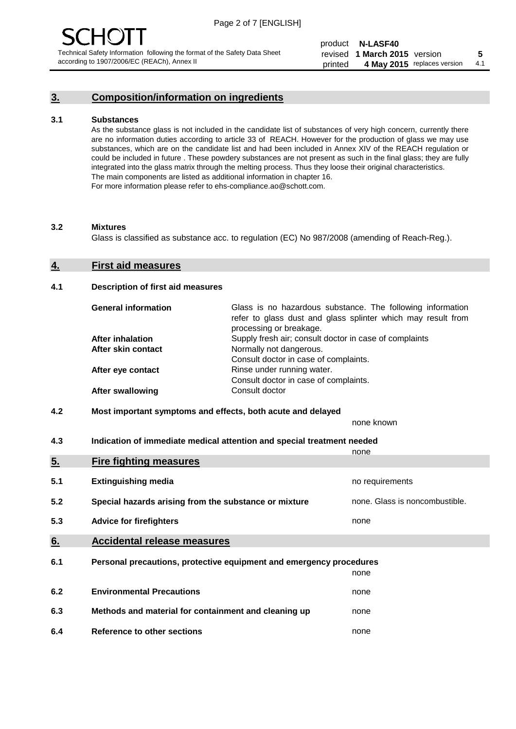### **3. Composition/information on ingredients**

#### **3.1 Substances**

As the substance glass is not included in the candidate list of substances of very high concern, currently there are no information duties according to article 33 of REACH. However for the production of glass we may use substances, which are on the candidate list and had been included in Annex XIV of the REACH regulation or could be included in future . These powdery substances are not present as such in the final glass; they are fully integrated into the glass matrix through the melting process. Thus they loose their original characteristics. The main components are listed as additional information in chapter 16. For more information please refer to ehs-compliance.ao@schott.com.

#### **3.2 Mixtures**

Glass is classified as substance acc. to regulation (EC) No 987/2008 (amending of Reach-Reg.).

#### **4. First aid measures**

#### **4.1 Description of first aid measures**

| <b>General information</b> | Glass is no hazardous substance. The following information<br>refer to glass dust and glass splinter which may result from<br>processing or breakage. |
|----------------------------|-------------------------------------------------------------------------------------------------------------------------------------------------------|
| <b>After inhalation</b>    | Supply fresh air; consult doctor in case of complaints                                                                                                |
| After skin contact         | Normally not dangerous.                                                                                                                               |
|                            | Consult doctor in case of complaints.                                                                                                                 |
| After eye contact          | Rinse under running water.                                                                                                                            |
|                            | Consult doctor in case of complaints.                                                                                                                 |
| <b>After swallowing</b>    | Consult doctor                                                                                                                                        |

#### **4.2 Most important symptoms and effects, both acute and delayed**

none known

**4.3 Indication of immediate medical attention and special treatment needed** 

|     |                                                                     | none                           |
|-----|---------------------------------------------------------------------|--------------------------------|
| 5.  | <b>Fire fighting measures</b>                                       |                                |
| 5.1 | <b>Extinguishing media</b>                                          | no requirements                |
| 5.2 | Special hazards arising from the substance or mixture               | none. Glass is noncombustible. |
| 5.3 | <b>Advice for firefighters</b>                                      | none                           |
| 6.  | <b>Accidental release measures</b>                                  |                                |
| 6.1 | Personal precautions, protective equipment and emergency procedures |                                |
|     |                                                                     | none                           |
| 6.2 | <b>Environmental Precautions</b>                                    | none                           |
| 6.3 | Methods and material for containment and cleaning up                | none                           |
| 6.4 | Reference to other sections                                         | none                           |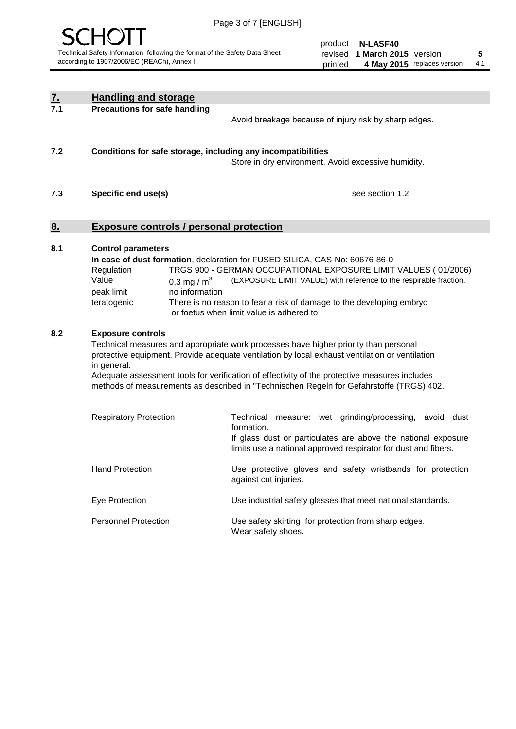

| <u>7.</u><br>7.1 | <b>Handling and storage</b>                                                                                      |                                                                                                                                                                                                                                                                                                                                                                                     |  |  |
|------------------|------------------------------------------------------------------------------------------------------------------|-------------------------------------------------------------------------------------------------------------------------------------------------------------------------------------------------------------------------------------------------------------------------------------------------------------------------------------------------------------------------------------|--|--|
|                  | <b>Precautions for safe handling</b>                                                                             | Avoid breakage because of injury risk by sharp edges.                                                                                                                                                                                                                                                                                                                               |  |  |
| 7.2              | Conditions for safe storage, including any incompatibilities                                                     | Store in dry environment. Avoid excessive humidity.                                                                                                                                                                                                                                                                                                                                 |  |  |
| 7.3              | Specific end use(s)                                                                                              | see section 1.2                                                                                                                                                                                                                                                                                                                                                                     |  |  |
| <u>8.</u>        | <b>Exposure controls / personal protection</b>                                                                   |                                                                                                                                                                                                                                                                                                                                                                                     |  |  |
| 8.1              | <b>Control parameters</b><br>Regulation<br>Value<br>0,3 mg / $m3$<br>peak limit<br>no information<br>teratogenic | In case of dust formation, declaration for FUSED SILICA, CAS-No: 60676-86-0<br>TRGS 900 - GERMAN OCCUPATIONAL EXPOSURE LIMIT VALUES (01/2006)<br>(EXPOSURE LIMIT VALUE) with reference to the respirable fraction.<br>There is no reason to fear a risk of damage to the developing embryo<br>or foetus when limit value is adhered to                                              |  |  |
| 8.2              | <b>Exposure controls</b><br>in general.                                                                          | Technical measures and appropriate work processes have higher priority than personal<br>protective equipment. Provide adequate ventilation by local exhaust ventilation or ventilation<br>Adequate assessment tools for verification of effectivity of the protective measures includes<br>methods of measurements as described in "Technischen Regeln for Gefahrstoffe (TRGS) 402. |  |  |
|                  | <b>Respiratory Protection</b>                                                                                    | Technical measure: wet grinding/processing, avoid dust<br>formation.<br>If glass dust or particulates are above the national exposure<br>limits use a national approved respirator for dust and fibers.                                                                                                                                                                             |  |  |
|                  | <b>Hand Protection</b>                                                                                           | Use protective gloves and safety wristbands for protection<br>against cut injuries.                                                                                                                                                                                                                                                                                                 |  |  |
|                  | Eye Protection                                                                                                   | Use industrial safety glasses that meet national standards.                                                                                                                                                                                                                                                                                                                         |  |  |
|                  | <b>Personnel Protection</b>                                                                                      | Use safety skirting for protection from sharp edges.<br>Wear safety shoes.                                                                                                                                                                                                                                                                                                          |  |  |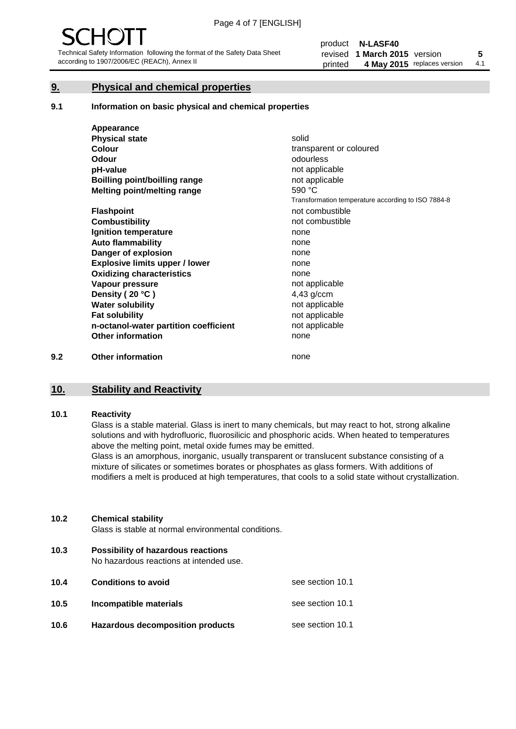#### **9. Physical and chemical properties**

#### **9.1 Information on basic physical and chemical properties**

|     | Appearance                            |                                                    |
|-----|---------------------------------------|----------------------------------------------------|
|     | <b>Physical state</b>                 | solid                                              |
|     | <b>Colour</b>                         | transparent or coloured                            |
|     | <b>Odour</b>                          | odourless                                          |
|     | pH-value                              | not applicable                                     |
|     | Boilling point/boilling range         | not applicable                                     |
|     | Melting point/melting range           | 590 °C                                             |
|     |                                       | Transformation temperature according to ISO 7884-8 |
|     | <b>Flashpoint</b>                     | not combustible                                    |
|     | <b>Combustibility</b>                 | not combustible                                    |
|     | Ignition temperature                  | none                                               |
|     | <b>Auto flammability</b>              | none                                               |
|     | Danger of explosion                   | none                                               |
|     | <b>Explosive limits upper / lower</b> | none                                               |
|     | <b>Oxidizing characteristics</b>      | none                                               |
|     | Vapour pressure                       | not applicable                                     |
|     | Density (20 °C)                       | 4,43 g/ccm                                         |
|     | <b>Water solubility</b>               | not applicable                                     |
|     | <b>Fat solubility</b>                 | not applicable                                     |
|     | n-octanol-water partition coefficient | not applicable                                     |
|     | <b>Other information</b>              | none                                               |
| 9.2 | <b>Other information</b>              | none                                               |

#### **10. Stability and Reactivity**

#### **10.1 Reactivity**

Glass is a stable material. Glass is inert to many chemicals, but may react to hot, strong alkaline solutions and with hydrofluoric, fluorosilicic and phosphoric acids. When heated to temperatures above the melting point, metal oxide fumes may be emitted.

Glass is an amorphous, inorganic, usually transparent or translucent substance consisting of a mixture of silicates or sometimes borates or phosphates as glass formers. With additions of modifiers a melt is produced at high temperatures, that cools to a solid state without crystallization.

#### **10.2 Chemical stability**

Glass is stable at normal environmental conditions.

**10.3 Possibility of hazardous reactions** 

No hazardous reactions at intended use.

| 10.4 | <b>Conditions to avoid</b>       | see section 10.1 |
|------|----------------------------------|------------------|
| 10.5 | Incompatible materials           | see section 10.1 |
| 10.6 | Hazardous decomposition products | see section 10.1 |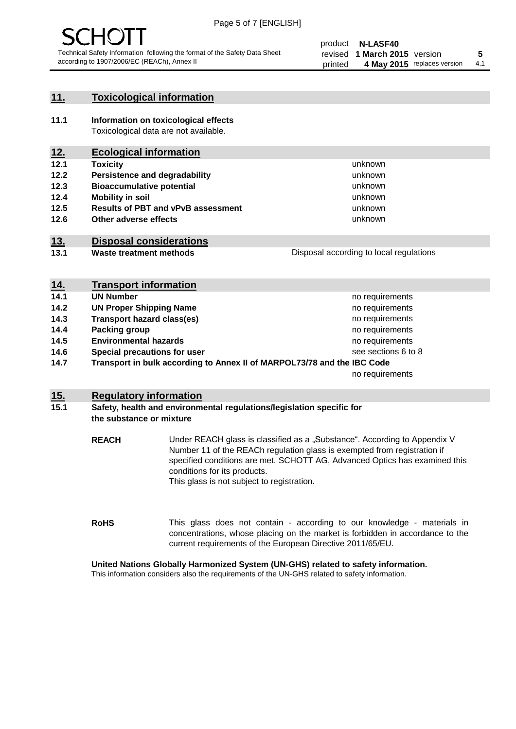

#### **11. Toxicological information**

**11.1 Information on toxicological effects** Toxicological data are not available.

### **12. Ecological information**

- **12.1 Toxicity**
- **12.2 Persistence and degradability**
- **12.3 Bioaccumulative potential**
- **12.4 Mobility in soil**
- **12.5 Results of PBT and vPvB assessment**
- **12.6 Other adverse effects**

#### **13. Disposal considerations**

**13.1 Waste treatment methods**

| Disposal according to local regulations |
|-----------------------------------------|
|                                         |

unknown unknown unknown unknown

unknown unknown

| <u>14.</u> | <b>Transport information</b>                                            |                     |
|------------|-------------------------------------------------------------------------|---------------------|
| 14.1       | <b>UN Number</b>                                                        | no requirements     |
| 14.2       | <b>UN Proper Shipping Name</b>                                          | no requirements     |
| 14.3       | <b>Transport hazard class(es)</b>                                       | no requirements     |
| 14.4       | Packing group                                                           | no requirements     |
| 14.5       | <b>Environmental hazards</b>                                            | no requirements     |
| 14.6       | Special precautions for user                                            | see sections 6 to 8 |
| 14.7       | Transport in bulk according to Annex II of MARPOL73/78 and the IBC Code |                     |
|            |                                                                         | no requirements     |

#### **15. Regulatory information**

#### **15.1 Safety, health and environmental regulations/legislation specific for the substance or mixture**

**REACH** Under REACH glass is classified as a "Substance". According to Appendix V Number 11 of the REACh regulation glass is exempted from registration if specified conditions are met. SCHOTT AG, Advanced Optics has examined this conditions for its products. This glass is not subject to registration.

**RoHS** This glass does not contain - according to our knowledge - materials in concentrations, whose placing on the market is forbidden in accordance to the current requirements of the European Directive 2011/65/EU.

#### **United Nations Globally Harmonized System (UN-GHS) related to safety information.**

This information considers also the requirements of the UN-GHS related to safety information.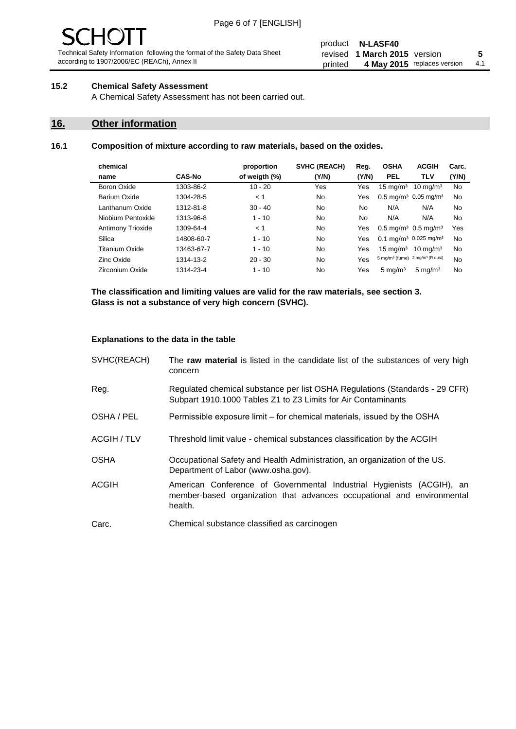# - JF

Technical Safety Information following the format of the Safety Data Sheet according to 1907/2006/EC (REACh), Annex II

#### product **N-LASF40** revised **5 1 March 2015** version printed 4 May 2015 replaces version 4.1

#### **15.2 Chemical Safety Assessment**

A Chemical Safety Assessment has not been carried out.

#### **16. Other information**

#### **16.1 Composition of mixture according to raw materials, based on the oxides.**

| chemical                 |               | proportion    | <b>SVHC (REACH)</b> | Reg.  | <b>OSHA</b>                                             | <b>ACGIH</b>                                 | Carc. |
|--------------------------|---------------|---------------|---------------------|-------|---------------------------------------------------------|----------------------------------------------|-------|
| name                     | <b>CAS-No</b> | of weigth (%) | (Y/N)               | (Y/N) | <b>PEL</b>                                              | TLV                                          | (Y/N) |
| Boron Oxide              | 1303-86-2     | $10 - 20$     | Yes                 | Yes   | $15 \text{ mg/m}^3$                                     | $10 \text{ mg/m}^3$                          | No    |
| Barium Oxide             | 1304-28-5     | < 1           | No                  | Yes   |                                                         | $0.5 \text{ mg/m}^3$ 0.05 mg/m <sup>3</sup>  | No    |
| Lanthanum Oxide          | 1312-81-8     | $30 - 40$     | No                  | No    | N/A                                                     | N/A                                          | No    |
| Niobium Pentoxide        | 1313-96-8     | $1 - 10$      | No                  | No    | N/A                                                     | N/A                                          | No    |
| <b>Antimony Trioxide</b> | 1309-64-4     | < 1           | No                  | Yes   | $0.5 \,\mathrm{mq/m^3}$ 0.5 mg/m <sup>3</sup>           |                                              | Yes   |
| Silica                   | 14808-60-7    | $1 - 10$      | No                  | Yes   |                                                         | $0.1 \text{ mg/m}^3$ 0.025 mg/m <sup>3</sup> | No    |
| <b>Titanium Oxide</b>    | 13463-67-7    | $1 - 10$      | No                  | Yes   | $15 \text{ mg/m}^3$                                     | $10 \text{ ma/m}^3$                          | No    |
| Zinc Oxide               | 1314-13-2     | $20 - 30$     | No                  | Yes   | 5 mg/m <sup>3</sup> (fume) 2 mg/m <sup>3</sup> (R dust) |                                              | No    |
| Zirconium Oxide          | 1314-23-4     | $1 - 10$      | No                  | Yes   | $5 \text{ mg/m}^3$                                      | $5 \text{ mg/m}^3$                           | No    |

**The classification and limiting values are valid for the raw materials, see section 3. Glass is not a substance of very high concern (SVHC).**

#### **Explanations to the data in the table**

| SVHC(REACH)        | The raw material is listed in the candidate list of the substances of very high<br>concern                                                                 |
|--------------------|------------------------------------------------------------------------------------------------------------------------------------------------------------|
| Reg.               | Regulated chemical substance per list OSHA Regulations (Standards - 29 CFR)<br>Subpart 1910.1000 Tables Z1 to Z3 Limits for Air Contaminants               |
| OSHA / PEL         | Permissible exposure limit – for chemical materials, issued by the OSHA                                                                                    |
| <b>ACGIH / TLV</b> | Threshold limit value - chemical substances classification by the ACGIH                                                                                    |
| <b>OSHA</b>        | Occupational Safety and Health Administration, an organization of the US.<br>Department of Labor (www.osha.gov).                                           |
| ACGIH              | American Conference of Governmental Industrial Hygienists (ACGIH), an<br>member-based organization that advances occupational and environmental<br>health. |
| Carc.              | Chemical substance classified as carcinogen                                                                                                                |